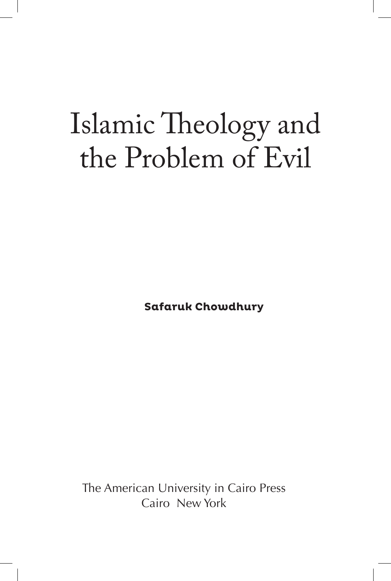## Islamic Theology and the Problem of Evil

**Safaruk Chowdhury**

The American University in Cairo Press Cairo New York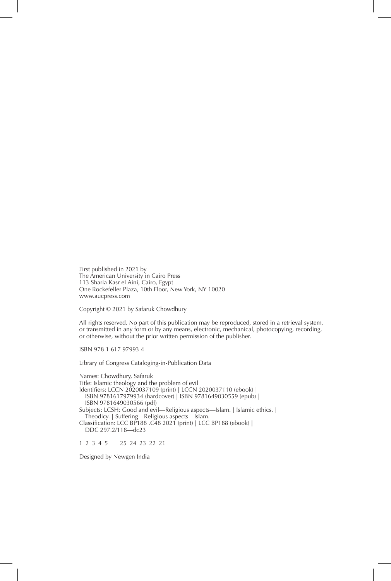First published in 2021 by The American University in Cairo Press 113 Sharia Kasr el Aini, Cairo, Egypt One Rockefeller Plaza, 10th Floor, New York, NY 10020 www.aucpress.com

Copyright © 2021 by Safaruk Chowdhury

All rights reserved. No part of this publication may be reproduced, stored in a retrieval system, or transmitted in any form or by any means, electronic, mechanical, photocopying, recording, or otherwise, without the prior written permission of the publisher.

ISBN 978 1 617 97993 4

Library of Congress Cataloging-in-Publication Data

Names: Chowdhury, Safaruk Title: Islamic theology and the problem of evil Identifiers: LCCN 2020037109 (print) | LCCN 2020037110 (ebook) | ISBN 9781617979934 (hardcover) | ISBN 9781649030559 (epub) | ISBN 9781649030566 (pdf) Subjects: LCSH: Good and evil—Religious aspects—Islam. | Islamic ethics. | Theodicy. | Suffering—Religious aspects—Islam. Classification: LCC BP188 .C48 2021 (print) | LCC BP188 (ebook) | DDC 297.2/118—dc23

1 2 3 4 5 25 24 23 22 21

Designed by Newgen India